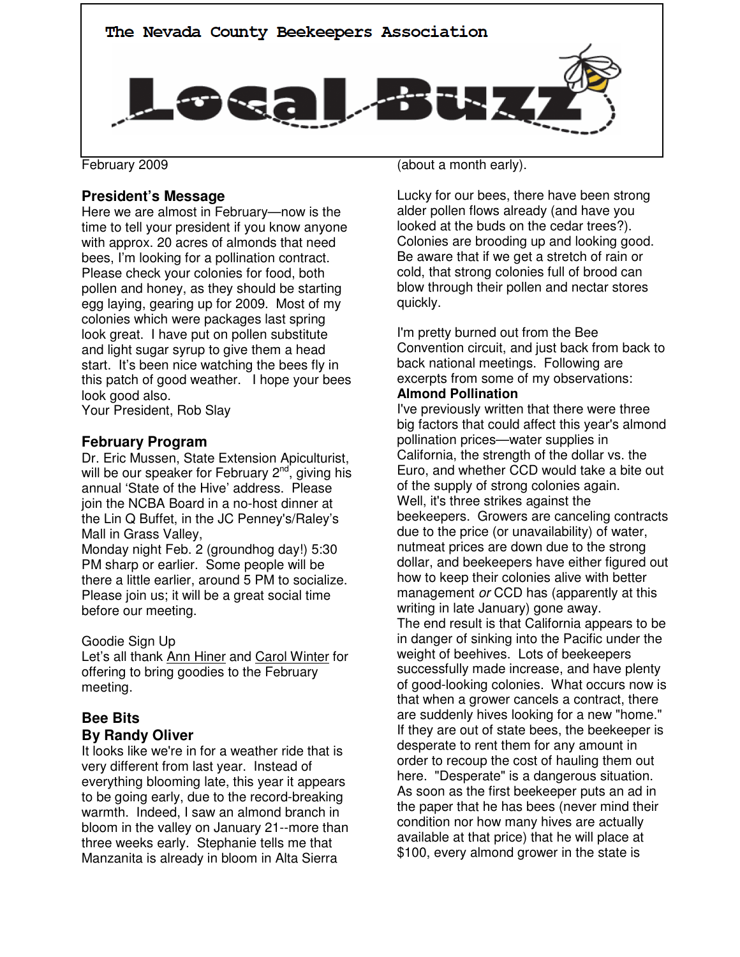

February 2009

# **President's Message**

Here we are almost in February—now is the time to tell your president if you know anyone with approx. 20 acres of almonds that need bees, I'm looking for a pollination contract. Please check your colonies for food, both pollen and honey, as they should be starting egg laying, gearing up for 2009. Most of my colonies which were packages last spring look great. I have put on pollen substitute and light sugar syrup to give them a head start. It's been nice watching the bees fly in this patch of good weather. I hope your bees look good also.

Your President, Rob Slay

# **February Program**

Dr. Eric Mussen, State Extension Apiculturist, will be our speaker for February  $2<sup>nd</sup>$ , giving his annual 'State of the Hive' address. Please join the NCBA Board in a no-host dinner at the Lin Q Buffet, in the JC Penney's/Raley's Mall in Grass Valley,

Monday night Feb. 2 (groundhog day!) 5:30 PM sharp or earlier. Some people will be there a little earlier, around 5 PM to socialize. Please join us; it will be a great social time before our meeting.

## Goodie Sign Up

Let's all thank Ann Hiner and Carol Winter for offering to bring goodies to the February meeting.

# **Bee Bits By Randy Oliver**

It looks like we're in for a weather ride that is very different from last year. Instead of everything blooming late, this year it appears to be going early, due to the record-breaking warmth. Indeed, I saw an almond branch in bloom in the valley on January 21--more than three weeks early. Stephanie tells me that Manzanita is already in bloom in Alta Sierra

(about a month early).

Lucky for our bees, there have been strong alder pollen flows already (and have you looked at the buds on the cedar trees?). Colonies are brooding up and looking good. Be aware that if we get a stretch of rain or cold, that strong colonies full of brood can blow through their pollen and nectar stores quickly.

I'm pretty burned out from the Bee Convention circuit, and just back from back to back national meetings. Following are excerpts from some of my observations: **Almond Pollination** 

I've previously written that there were three big factors that could affect this year's almond pollination prices—water supplies in California, the strength of the dollar vs. the Euro, and whether CCD would take a bite out of the supply of strong colonies again. Well, it's three strikes against the beekeepers. Growers are canceling contracts due to the price (or unavailability) of water, nutmeat prices are down due to the strong dollar, and beekeepers have either figured out how to keep their colonies alive with better management or CCD has (apparently at this writing in late January) gone away. The end result is that California appears to be in danger of sinking into the Pacific under the weight of beehives. Lots of beekeepers successfully made increase, and have plenty of good-looking colonies. What occurs now is that when a grower cancels a contract, there are suddenly hives looking for a new "home." If they are out of state bees, the beekeeper is desperate to rent them for any amount in order to recoup the cost of hauling them out here. "Desperate" is a dangerous situation. As soon as the first beekeeper puts an ad in the paper that he has bees (never mind their condition nor how many hives are actually available at that price) that he will place at \$100, every almond grower in the state is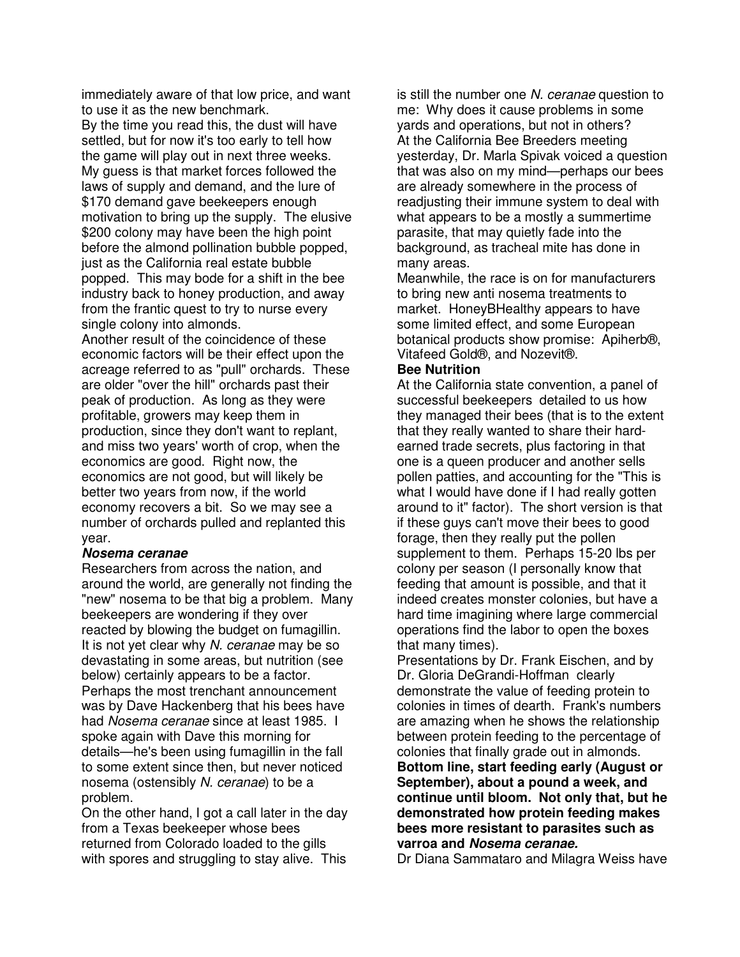immediately aware of that low price, and want to use it as the new benchmark.

By the time you read this, the dust will have settled, but for now it's too early to tell how the game will play out in next three weeks. My guess is that market forces followed the laws of supply and demand, and the lure of \$170 demand gave beekeepers enough motivation to bring up the supply. The elusive \$200 colony may have been the high point before the almond pollination bubble popped, just as the California real estate bubble popped. This may bode for a shift in the bee industry back to honey production, and away from the frantic quest to try to nurse every single colony into almonds.

Another result of the coincidence of these economic factors will be their effect upon the acreage referred to as "pull" orchards. These are older "over the hill" orchards past their peak of production. As long as they were profitable, growers may keep them in production, since they don't want to replant, and miss two years' worth of crop, when the economics are good. Right now, the economics are not good, but will likely be better two years from now, if the world economy recovers a bit. So we may see a number of orchards pulled and replanted this year.

#### **Nosema ceranae**

Researchers from across the nation, and around the world, are generally not finding the "new" nosema to be that big a problem. Many beekeepers are wondering if they over reacted by blowing the budget on fumagillin. It is not yet clear why N. ceranae may be so devastating in some areas, but nutrition (see below) certainly appears to be a factor. Perhaps the most trenchant announcement was by Dave Hackenberg that his bees have had Nosema ceranae since at least 1985. I spoke again with Dave this morning for details—he's been using fumagillin in the fall to some extent since then, but never noticed nosema (ostensibly N. ceranae) to be a problem.

On the other hand, I got a call later in the day from a Texas beekeeper whose bees returned from Colorado loaded to the gills with spores and struggling to stay alive. This

is still the number one N. ceranae question to me: Why does it cause problems in some yards and operations, but not in others? At the California Bee Breeders meeting yesterday, Dr. Marla Spivak voiced a question that was also on my mind—perhaps our bees are already somewhere in the process of readjusting their immune system to deal with what appears to be a mostly a summertime parasite, that may quietly fade into the background, as tracheal mite has done in many areas.

Meanwhile, the race is on for manufacturers to bring new anti nosema treatments to market. HoneyBHealthy appears to have some limited effect, and some European botanical products show promise: Apiherb®, Vitafeed Gold®, and Nozevit®.

### **Bee Nutrition**

At the California state convention, a panel of successful beekeepers detailed to us how they managed their bees (that is to the extent that they really wanted to share their hardearned trade secrets, plus factoring in that one is a queen producer and another sells pollen patties, and accounting for the "This is what I would have done if I had really gotten around to it" factor). The short version is that if these guys can't move their bees to good forage, then they really put the pollen supplement to them. Perhaps 15-20 lbs per colony per season (I personally know that feeding that amount is possible, and that it indeed creates monster colonies, but have a hard time imagining where large commercial operations find the labor to open the boxes that many times).

Presentations by Dr. Frank Eischen, and by Dr. Gloria DeGrandi-Hoffman clearly demonstrate the value of feeding protein to colonies in times of dearth. Frank's numbers are amazing when he shows the relationship between protein feeding to the percentage of colonies that finally grade out in almonds. **Bottom line, start feeding early (August or September), about a pound a week, and continue until bloom. Not only that, but he demonstrated how protein feeding makes bees more resistant to parasites such as varroa and Nosema ceranae.** 

Dr Diana Sammataro and Milagra Weiss have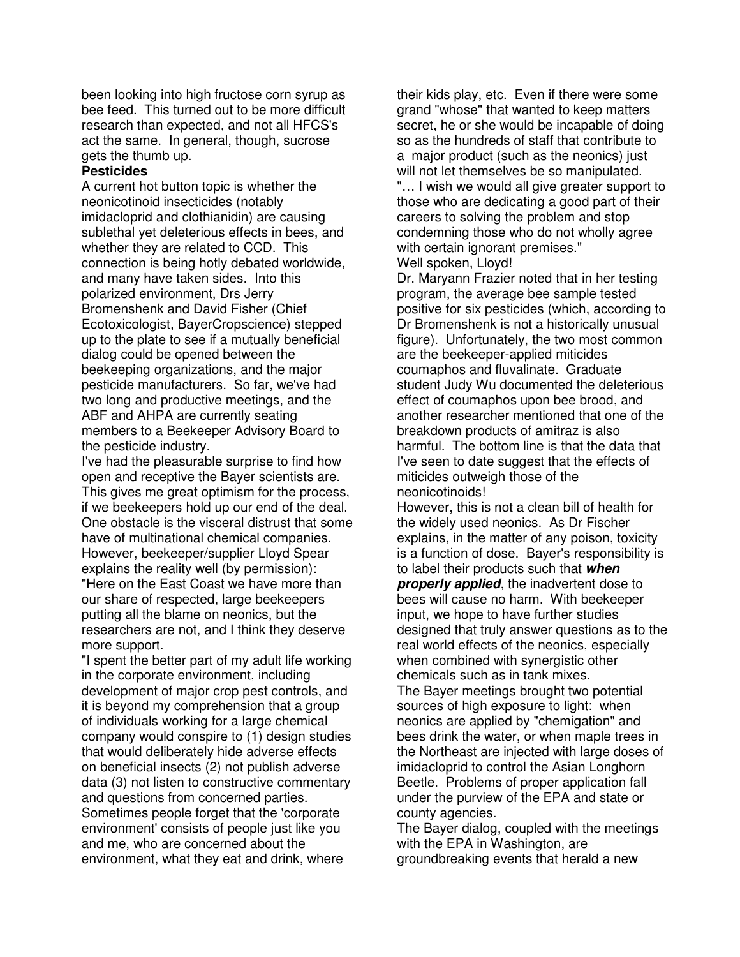been looking into high fructose corn syrup as bee feed. This turned out to be more difficult research than expected, and not all HFCS's act the same. In general, though, sucrose gets the thumb up.

## **Pesticides**

A current hot button topic is whether the neonicotinoid insecticides (notably imidacloprid and clothianidin) are causing sublethal yet deleterious effects in bees, and whether they are related to CCD. This connection is being hotly debated worldwide, and many have taken sides. Into this polarized environment, Drs Jerry Bromenshenk and David Fisher (Chief Ecotoxicologist, BayerCropscience) stepped up to the plate to see if a mutually beneficial dialog could be opened between the beekeeping organizations, and the major pesticide manufacturers. So far, we've had two long and productive meetings, and the ABF and AHPA are currently seating members to a Beekeeper Advisory Board to the pesticide industry.

I've had the pleasurable surprise to find how open and receptive the Bayer scientists are. This gives me great optimism for the process, if we beekeepers hold up our end of the deal. One obstacle is the visceral distrust that some have of multinational chemical companies. However, beekeeper/supplier Lloyd Spear explains the reality well (by permission): "Here on the East Coast we have more than our share of respected, large beekeepers putting all the blame on neonics, but the researchers are not, and I think they deserve more support.

"I spent the better part of my adult life working in the corporate environment, including development of major crop pest controls, and it is beyond my comprehension that a group of individuals working for a large chemical company would conspire to (1) design studies that would deliberately hide adverse effects on beneficial insects (2) not publish adverse data (3) not listen to constructive commentary and questions from concerned parties. Sometimes people forget that the 'corporate environment' consists of people just like you and me, who are concerned about the environment, what they eat and drink, where

their kids play, etc. Even if there were some grand "whose" that wanted to keep matters secret, he or she would be incapable of doing so as the hundreds of staff that contribute to a major product (such as the neonics) just will not let themselves be so manipulated. "… I wish we would all give greater support to those who are dedicating a good part of their careers to solving the problem and stop condemning those who do not wholly agree with certain ignorant premises."

Well spoken, Lloyd!

Dr. Maryann Frazier noted that in her testing program, the average bee sample tested positive for six pesticides (which, according to Dr Bromenshenk is not a historically unusual figure). Unfortunately, the two most common are the beekeeper-applied miticides coumaphos and fluvalinate. Graduate student Judy Wu documented the deleterious effect of coumaphos upon bee brood, and another researcher mentioned that one of the breakdown products of amitraz is also harmful. The bottom line is that the data that I've seen to date suggest that the effects of miticides outweigh those of the neonicotinoids!

However, this is not a clean bill of health for the widely used neonics. As Dr Fischer explains, in the matter of any poison, toxicity is a function of dose. Bayer's responsibility is to label their products such that **when properly applied**, the inadvertent dose to bees will cause no harm. With beekeeper input, we hope to have further studies designed that truly answer questions as to the real world effects of the neonics, especially when combined with synergistic other chemicals such as in tank mixes. The Bayer meetings brought two potential sources of high exposure to light: when neonics are applied by "chemigation" and bees drink the water, or when maple trees in the Northeast are injected with large doses of imidacloprid to control the Asian Longhorn Beetle. Problems of proper application fall under the purview of the EPA and state or county agencies.

The Bayer dialog, coupled with the meetings with the EPA in Washington, are groundbreaking events that herald a new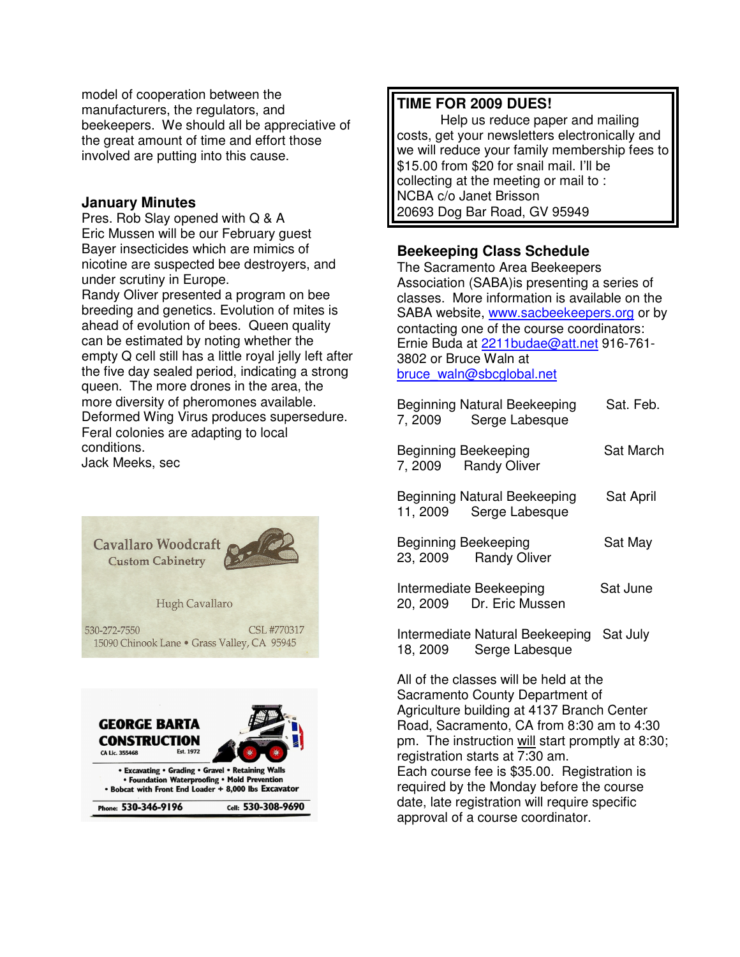model of cooperation between the manufacturers, the regulators, and beekeepers. We should all be appreciative of the great amount of time and effort those involved are putting into this cause.

## **January Minutes**

Pres. Rob Slay opened with Q & A Eric Mussen will be our February guest Bayer insecticides which are mimics of nicotine are suspected bee destroyers, and under scrutiny in Europe.

Randy Oliver presented a program on bee breeding and genetics. Evolution of mites is ahead of evolution of bees. Queen quality can be estimated by noting whether the empty Q cell still has a little royal jelly left after the five day sealed period, indicating a strong queen. The more drones in the area, the more diversity of pheromones available. Deformed Wing Virus produces supersedure. Feral colonies are adapting to local conditions.

Jack Meeks, sec





## **TIME FOR 2009 DUES!**

 Help us reduce paper and mailing costs, get your newsletters electronically and we will reduce your family membership fees to \$15.00 from \$20 for snail mail. I'll be collecting at the meeting or mail to : NCBA c/o Janet Brisson 20693 Dog Bar Road, GV 95949

# **Beekeeping Class Schedule**

The Sacramento Area Beekeepers Association (SABA)is presenting a series of classes. More information is available on the SABA website, www.sacbeekeepers.org or by contacting one of the course coordinators: Ernie Buda at 2211budae@att.net 916-761- 3802 or Bruce Waln at bruce\_waln@sbcglobal.net

| Beginning Natural Beekeeping<br>7, 2009 Serge Labesque  | Sat. Feb. |
|---------------------------------------------------------|-----------|
| Beginning Beekeeping<br>7, 2009 Randy Oliver            | Sat March |
| Beginning Natural Beekeeping<br>11, 2009 Serge Labesque | Sat April |
| Beginning Beekeeping<br>23, 2009 Randy Oliver           | Sat May   |
| Intermediate Beekeeping<br>20, 2009 Dr. Eric Mussen     | Sat June  |
| Intermediate Natural Beekeeping                         | Sat July  |

18, 2009 Serge Labesque

All of the classes will be held at the Sacramento County Department of Agriculture building at 4137 Branch Center Road, Sacramento, CA from 8:30 am to 4:30 pm. The instruction will start promptly at 8:30; registration starts at 7:30 am. Each course fee is \$35.00. Registration is required by the Monday before the course date, late registration will require specific approval of a course coordinator.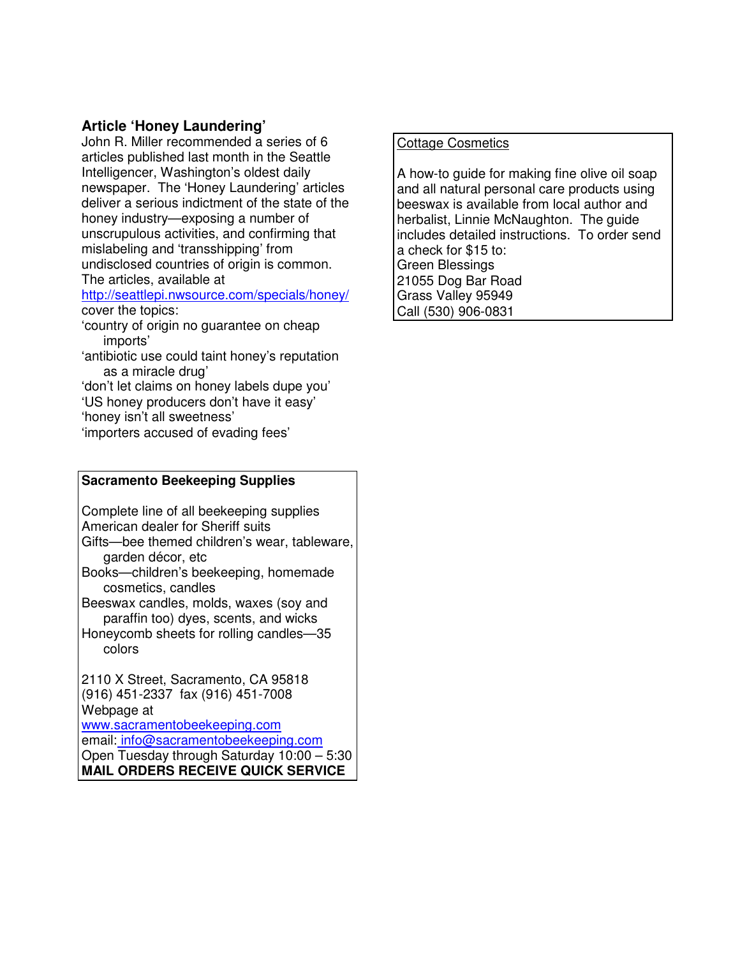# **Article 'Honey Laundering'**

John R. Miller recommended a series of 6 articles published last month in the Seattle Intelligencer, Washington's oldest daily newspaper. The 'Honey Laundering' articles deliver a serious indictment of the state of the honey industry—exposing a number of unscrupulous activities, and confirming that mislabeling and 'transshipping' from undisclosed countries of origin is common. The articles, available at

### http://seattlepi.nwsource.com/specials/honey/ cover the topics:

- 'country of origin no guarantee on cheap imports'
- 'antibiotic use could taint honey's reputation as a miracle drug'

'don't let claims on honey labels dupe you' 'US honey producers don't have it easy' 'honey isn't all sweetness'

'importers accused of evading fees'

#### **Sacramento Beekeeping Supplies**

Complete line of all beekeeping supplies American dealer for Sheriff suits Gifts—bee themed children's wear, tableware, garden décor, etc

Books—children's beekeeping, homemade cosmetics, candles

Beeswax candles, molds, waxes (soy and paraffin too) dyes, scents, and wicks

Honeycomb sheets for rolling candles—35 colors

2110 X Street, Sacramento, CA 95818 (916) 451-2337 fax (916) 451-7008 Webpage at www.sacramentobeekeeping.com email: info@sacramentobeekeeping.com

Open Tuesday through Saturday 10:00 – 5:30 **MAIL ORDERS RECEIVE QUICK SERVICE**

# Cottage Cosmetics

A how-to guide for making fine olive oil soap and all natural personal care products using beeswax is available from local author and herbalist, Linnie McNaughton. The guide includes detailed instructions. To order send a check for \$15 to: Green Blessings 21055 Dog Bar Road Grass Valley 95949 Call (530) 906-0831